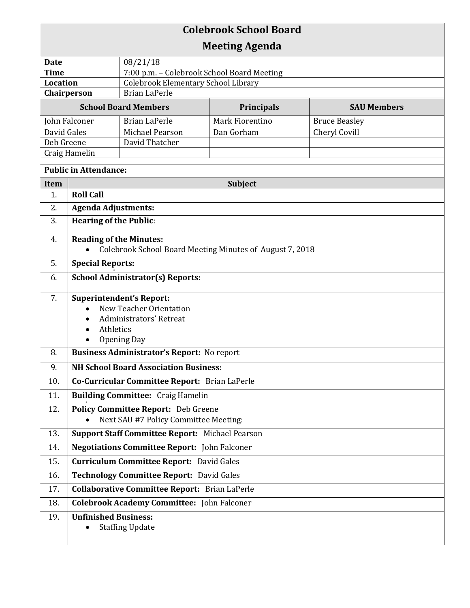## **Colebrook School Board Meeting Agenda Date** 08/21/18 **Time** 7:00 p.m. – Colebrook School Board Meeting **Location** | Colebrook Elementary School Library **Chairperson** | Brian LaPerle **School Board Members Principals SAU Members** John Falconer Brian LaPerle Mark Fiorentino Bruce Beasley David Gales Michael Pearson Dan Gorham Cheryl Covill Deb Greene | David Thatcher Craig Hamelin **Public in Attendance: Item Subject** Subject 1. **Roll Call** 2. **Agenda Adjustments:** 3. **Hearing of the Public**: 4. **Reading of the Minutes:**  Colebrook School Board Meeting Minutes of August 7, 2018 5. **Special Reports:** o 6. **School Administrator(s) Reports:**  7. **Superintendent's Report:**  New Teacher Orientation Administrators' Retreat • Athletics • Opening Day 8. **Business Administrator's Report:** No report 9. **NH School Board Association Business:**  10. **Co-Curricular Committee Report:** Brian LaPerle 11. **Building Committee:** Craig Hamelin . 12. **Policy Committee Report:** Deb Greene Next SAU #7 Policy Committee Meeting: 13. **Support Staff Committee Report:** Michael Pearson 14. **Negotiations Committee Report:** John Falconer 15. **Curriculum Committee Report:** David Gales 16. **Technology Committee Report:** David Gales 17. **Collaborative Committee Report:** Brian LaPerle 18. **Colebrook Academy Committee:** John Falconer 19. **Unfinished Business:**  • Staffing Update